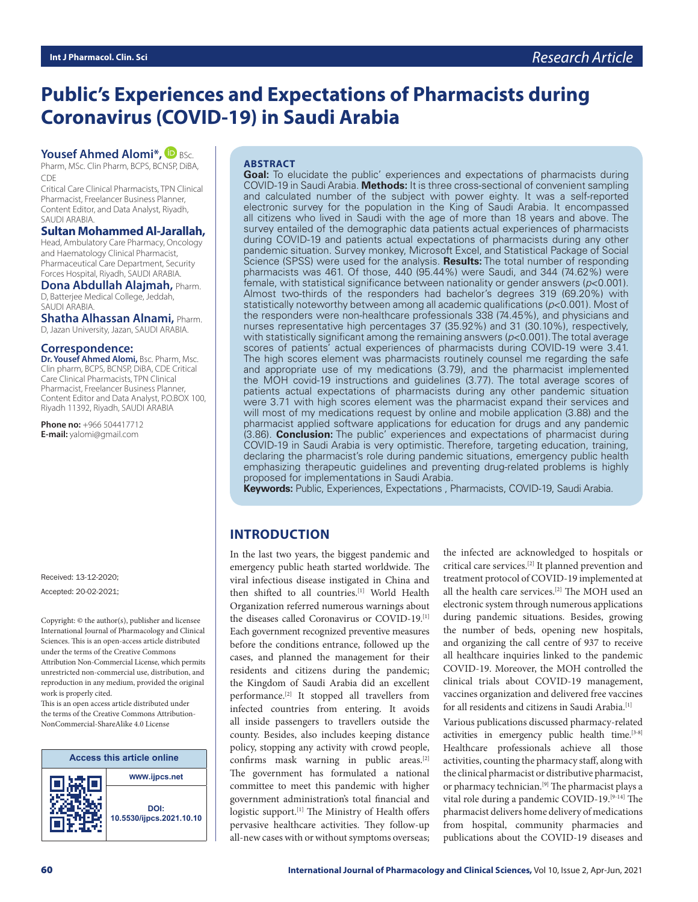# **Public's Experiences and Expectations of Pharmacists during Coronavirus (COVID-19) in Saudi Arabia**

## **Yousef Ahmed Alomi\*, DBSc.**

Pharm, MSc. Clin Pharm, BCPS, BCNSP, DiBA, CDE

Critical Care Clinical Pharmacists, TPN Clinical Pharmacist, Freelancer Business Planner, Content Editor, and Data Analyst, Riyadh, SAUDI ARABIA.

#### **Sultan Mohammed Al-Jarallah,**

Head, Ambulatory Care Pharmacy, Oncology and Haematology Clinical Pharmacist, Pharmaceutical Care Department, Security Forces Hospital, Riyadh, SAUDI ARABIA.

**Dona Abdullah Alajmah,** Pharm. D, Batterjee Medical College, Jeddah, SAUDI ARABIA.

**Shatha Alhassan Alnami,** Pharm. D, Jazan University, Jazan, SAUDI ARABIA.

#### **Correspondence:**

**Dr. Yousef Ahmed Alomi,** Bsc. Pharm, Msc. Clin pharm, BCPS, BCNSP, DiBA, CDE Critical Care Clinical Pharmacists, TPN Clinical Pharmacist, Freelancer Business Planner, Content Editor and Data Analyst, P.O.BOX 100, Riyadh 11392, Riyadh, SAUDI ARABIA

**Phone no:** +966 504417712 **E-mail:** yalomi@gmail.com

Received: 13-12-2020; Accepted: 20-02-2021;

Copyright:  $\circledcirc$  the author(s), publisher and licensee International Journal of Pharmacology and Clinical Sciences. This is an open-access article distributed under the terms of the Creative Commons Attribution Non-Commercial License, which permits unrestricted non-commercial use, distribution, and reproduction in any medium, provided the original work is properly cited.

This is an open access article distributed under the terms of the Creative Commons Attribution-NonCommercial-ShareAlike 4.0 License



#### **ABSTRACT**

**Goal:** To elucidate the public' experiences and expectations of pharmacists during COVID-19 in Saudi Arabia. **Methods:** It is three cross-sectional of convenient sampling and calculated number of the subject with power eighty. It was a self-reported electronic survey for the population in the King of Saudi Arabia. It encompassed all citizens who lived in Saudi with the age of more than 18 years and above. The survey entailed of the demographic data patients actual experiences of pharmacists during COVID-19 and patients actual expectations of pharmacists during any other pandemic situation. Survey monkey, Microsoft Excel, and Statistical Package of Social Science (SPSS) were used for the analysis. **Results:** The total number of responding pharmacists was 461. Of those, 440 (95.44%) were Saudi, and 344 (74.62%) were female, with statistical significance between nationality or gender answers (*p*<0.001). Almost two-thirds of the responders had bachelor's degrees 319 (69.20%) with statistically noteworthy between among all academic qualifications (*p*<0.001). Most of the responders were non-healthcare professionals 338 (74.45%), and physicians and nurses representative high percentages 37 (35.92%) and 31 (30.10%), respectively, with statistically significant among the remaining answers (*p*<0.001). The total average scores of patients' actual experiences of pharmacists during COVID-19 were 3.41. The high scores element was pharmacists routinely counsel me regarding the safe and appropriate use of my medications (3.79), and the pharmacist implemented the MOH covid-19 instructions and guidelines (3.77). The total average scores of patients actual expectations of pharmacists during any other pandemic situation were 3.71 with high scores element was the pharmacist expand their services and will most of my medications request by online and mobile application (3.88) and the pharmacist applied software applications for education for drugs and any pandemic (3.86). **Conclusion:** The public' experiences and expectations of pharmacist during COVID-19 in Saudi Arabia is very optimistic. Therefore, targeting education, training, declaring the pharmacist's role during pandemic situations, emergency public health emphasizing therapeutic guidelines and preventing drug-related problems is highly proposed for implementations in Saudi Arabia.

**Keywords:** Public, Experiences, Expectations , Pharmacists, COVID-19, Saudi Arabia.

# **INTRODUCTION**

In the last two years, the biggest pandemic and emergency public heath started worldwide. The viral infectious disease instigated in China and then shifted to all countries.[1] World Health Organization referred numerous warnings about the diseases called Coronavirus or COVID-19.[1] Each government recognized preventive measures before the conditions entrance, followed up the cases, and planned the management for their residents and citizens during the pandemic; the Kingdom of Saudi Arabia did an excellent performance.[2] It stopped all travellers from infected countries from entering. It avoids all inside passengers to travellers outside the county. Besides, also includes keeping distance policy, stopping any activity with crowd people, confirms mask warning in public areas.[2] The government has formulated a national committee to meet this pandemic with higher government administration's total financial and logistic support.<sup>[1]</sup> The Ministry of Health offers pervasive healthcare activities. They follow-up all-new cases with or without symptoms overseas;

the infected are acknowledged to hospitals or critical care services.[2] It planned prevention and treatment protocol of COVID-19 implemented at all the health care services.[2] The MOH used an electronic system through numerous applications during pandemic situations. Besides, growing the number of beds, opening new hospitals, and organizing the call centre of 937 to receive all healthcare inquiries linked to the pandemic COVID-19. Moreover, the MOH controlled the clinical trials about COVID-19 management, vaccines organization and delivered free vaccines for all residents and citizens in Saudi Arabia.[1]

Various publications discussed pharmacy-related activities in emergency public health time.<sup>[3-8]</sup> Healthcare professionals achieve all those activities, counting the pharmacy staff, along with the clinical pharmacist or distributive pharmacist, or pharmacy technician.<sup>[9]</sup> The pharmacist plays a vital role during a pandemic COVID-19.[9-14] The pharmacist delivers home delivery of medications from hospital, community pharmacies and publications about the COVID-19 diseases and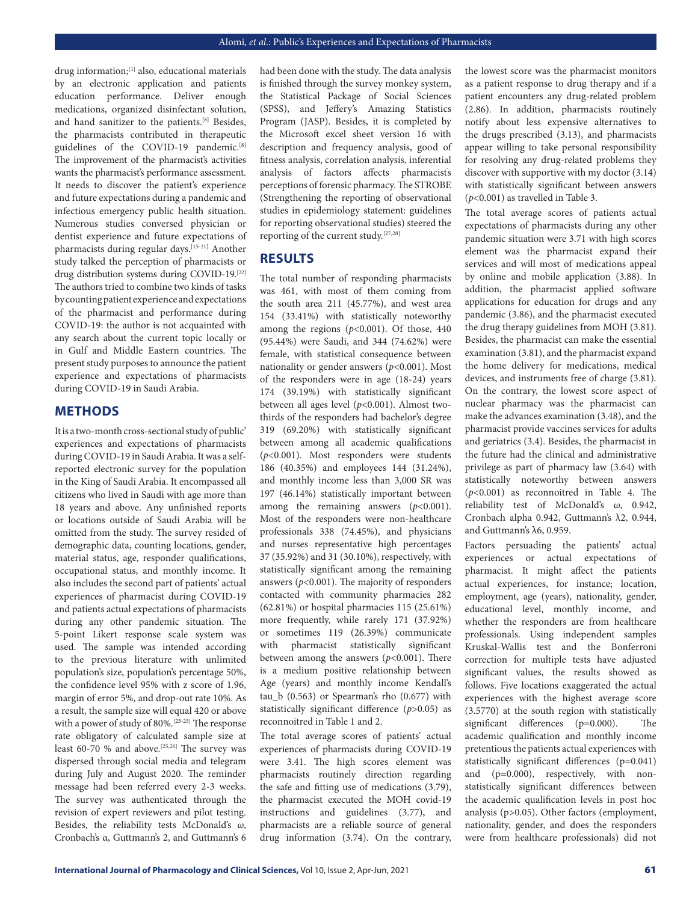drug information;[1] also, educational materials by an electronic application and patients education performance. Deliver enough medications, organized disinfectant solution, and hand sanitizer to the patients.[8] Besides, the pharmacists contributed in therapeutic guidelines of the COVID-19 pandemic.<sup>[8]</sup> The improvement of the pharmacist's activities wants the pharmacist's performance assessment. It needs to discover the patient's experience and future expectations during a pandemic and infectious emergency public health situation. Numerous studies conversed physician or dentist experience and future expectations of pharmacists during regular days.<sup>[15-21]</sup> Another study talked the perception of pharmacists or drug distribution systems during COVID-19.[22] The authors tried to combine two kinds of tasks by counting patient experience and expectations of the pharmacist and performance during COVID-19: the author is not acquainted with any search about the current topic locally or in Gulf and Middle Eastern countries. The present study purposes to announce the patient experience and expectations of pharmacists during COVID-19 in Saudi Arabia.

## **METHODS**

It is a two-month cross-sectional study of public' experiences and expectations of pharmacists during COVID-19 in Saudi Arabia. It was a selfreported electronic survey for the population in the King of Saudi Arabia. It encompassed all citizens who lived in Saudi with age more than 18 years and above. Any unfinished reports or locations outside of Saudi Arabia will be omitted from the study. The survey resided of demographic data, counting locations, gender, material status, age, responder qualifications, occupational status, and monthly income. It also includes the second part of patients' actual experiences of pharmacist during COVID-19 and patients actual expectations of pharmacists during any other pandemic situation. The 5-point Likert response scale system was used. The sample was intended according to the previous literature with unlimited population's size, population's percentage 50%, the confidence level 95% with z score of 1.96, margin of error 5%, and drop-out rate 10%. As a result, the sample size will equal 420 or above with a power of study of 80%.[23-25] The response rate obligatory of calculated sample size at least 60-70 % and above.<sup>[25,26]</sup> The survey was dispersed through social media and telegram during July and August 2020. The reminder message had been referred every 2-3 weeks. The survey was authenticated through the revision of expert reviewers and pilot testing. Besides, the reliability tests McDonald's ω, Cronbach's α, Guttmann's 2, and Guttmann's 6

had been done with the study. The data analysis is finished through the survey monkey system, the Statistical Package of Social Sciences (SPSS), and Jeffery's Amazing Statistics Program (JASP). Besides, it is completed by the Microsoft excel sheet version 16 with description and frequency analysis, good of fitness analysis, correlation analysis, inferential analysis of factors affects pharmacist' s perceptions of forensic pharmacy. The STROBE (Strengthening the reporting of observational studies in epidemiology statement: guidelines for reporting observational studies) steered the reporting of the current study.[27,28]

#### **RESULTS**

The total number of responding pharmacists was 461, with most of them coming from the south area 211 (45.77%), and west area 154 (33.41%) with statistically noteworthy among the regions (*p*<0.001). Of those, 440 (95.44%) were Saudi, and 344 (74.62%) were female, with statistical consequence between nationality or gender answers (*p*<0.001). Most of the responders were in age (18-24) years 174 (39.19%) with statistically significant between all ages level (*p*<0.001). Almost twothirds of the responders had bachelor's degree 319 (69.20%) with statistically significant between among all academic qualifications (*p*<0.001). Most responders were students 186 (40.35%) and employees 144 (31.24%), and monthly income less than 3,000 SR was 197 (46.14%) statistically important between among the remaining answers (*p*<0.001). Most of the responders were non-healthcare professionals 338 (74.45%), and physicians and nurses representative high percentages 37 (35.92%) and 31 (30.10%), respectively, with statistically significant among the remaining answers (*p*<0.001). The majority of responders contacted with community pharmacies 282 (62.81%) or hospital pharmacies 115 (25.61%) more frequently, while rarely 171 (37.92%) or sometimes 119 (26.39%) communicate with pharmacist statistically significant between among the answers (*p*<0.001). There is a medium positive relationship between Age (years) and monthly income Kendall's tau\_b (0.563) or Spearman's rho (0.677) with statistically significant difference (*p*>0.05) as reconnoitred in Table 1 and 2.

The total average scores of patients' actual experiences of pharmacists during COVID-19 were 3.41. The high scores element was pharmacists routinely direction regarding the safe and fitting use of medications (3.79), the pharmacist executed the MOH covid-19 instructions and guidelines (3.77), and pharmacists are a reliable source of general drug information (3.74). On the contrary,

the lowest score was the pharmacist monitors as a patient response to drug therapy and if a patient encounters any drug-related problem (2.86). In addition, pharmacists routinely notify about less expensive alternatives to the drugs prescribed (3.13), and pharmacists appear willing to take personal responsibility for resolving any drug-related problems they discover with supportive with my doctor (3.14) with statistically significant between answers (*p*<0.001) as travelled in Table 3.

The total average scores of patients actual expectations of pharmacists during any other pandemic situation were 3.71 with high scores element was the pharmacist expand their services and will most of medications appeal by online and mobile application (3.88). In addition, the pharmacist applied software applications for education for drugs and any pandemic (3.86), and the pharmacist executed the drug therapy guidelines from MOH (3.81). Besides, the pharmacist can make the essential examination (3.81), and the pharmacist expand the home delivery for medications, medical devices, and instruments free of charge (3.81). On the contrary, the lowest score aspect of nuclear pharmacy was the pharmacist can make the advances examination (3.48), and the pharmacist provide vaccines services for adults and geriatrics (3.4). Besides, the pharmacist in the future had the clinical and administrative privilege as part of pharmacy law (3.64) with statistically noteworthy between answers (*p*<0.001) as reconnoitred in Table 4. The reliability test of McDonald's ω, 0.942, Cronbach alpha 0.942, Guttmann's λ2, 0.944, and Guttmann's  $λ$ 6, 0.959.

Factors persuading the patients' actual experiences or actual expectations of pharmacist. It might affect the patients actual experiences, for instance; location, employment, age (years), nationality, gender, educational level, monthly income, and whether the responders are from healthcare professionals. Using independent samples Kruskal-Wallis test and the Bonferroni correction for multiple tests have adjusted significant values, the results showed as follows. Five locations exaggerated the actual experiences with the highest average score (3.5770) at the south region with statistically significant differences (p=0.000). The academic qualification and monthly income pretentious the patients actual experiences with statistically significant differences (p=0.041) and (p=0.000), respectively, with nonstatistically significant differences between the academic qualification levels in post hoc analysis (p>0.05). Other factors (employment, nationality, gender, and does the responders were from healthcare professionals) did not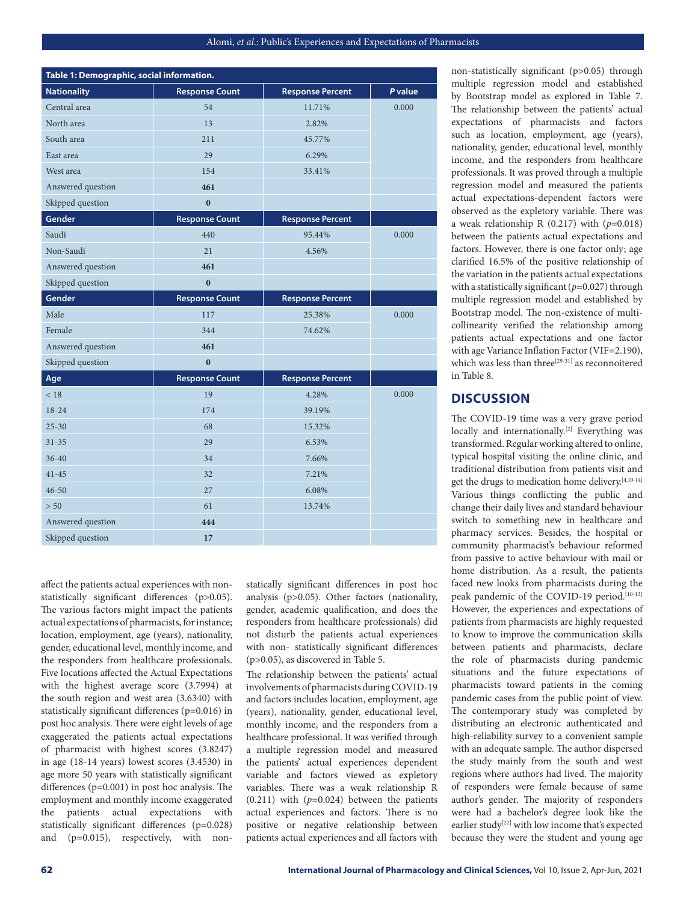| Table 1: Demographic, social information. |                       |                         |         |
|-------------------------------------------|-----------------------|-------------------------|---------|
| <b>Nationality</b>                        | <b>Response Count</b> | <b>Response Percent</b> | P value |
| Central area                              | 54                    | 11.71%                  | 0.000   |
| North area                                | 13                    | 2.82%                   |         |
| South area                                | 211                   | 45.77%                  |         |
| East area                                 | 29                    | 6.29%                   |         |
| West area                                 | 154                   | 33.41%                  |         |
| Answered question                         | 461                   |                         |         |
| Skipped question                          | $\bf{0}$              |                         |         |
| Gender                                    | <b>Response Count</b> | <b>Response Percent</b> |         |
| Saudi                                     | 440                   | 95.44%                  | 0.000   |
| Non-Saudi                                 | 21                    | 4.56%                   |         |
| Answered question                         | 461                   |                         |         |
| Skipped question                          | $\bf{0}$              |                         |         |
| Gender                                    | <b>Response Count</b> | <b>Response Percent</b> |         |
| Male                                      | 117                   | 25.38%                  | 0.000   |
| Female                                    | 344                   | 74.62%                  |         |
| Answered question                         | 461                   |                         |         |
| Skipped question                          | $\bf{0}$              |                         |         |
| Age                                       | <b>Response Count</b> | <b>Response Percent</b> |         |
| < 18                                      | 19                    | 4.28%                   | 0.000   |
| $18 - 24$                                 | 174                   | 39.19%                  |         |
| $25 - 30$                                 | 68                    | 15.32%                  |         |
| $31 - 35$                                 | 29                    | 6.53%                   |         |
| $36 - 40$                                 | 34                    | 7.66%                   |         |
| $41 - 45$                                 | 32                    | 7.21%                   |         |
| $46 - 50$                                 | 27                    | 6.08%                   |         |
| > 50                                      | 61                    | 13.74%                  |         |
| Answered question                         | 444                   |                         |         |
| Skipped question                          | 17                    |                         |         |

affect the patients actual experiences with nonstatistically significant differences (p>0.05). The various factors might impact the patients actual expectations of pharmacists, for instance; location, employment, age (years), nationality, gender, educational level, monthly income, and the responders from healthcare professionals. Five locations affected the Actual Expectations with the highest average score (3.7994) at the south region and west area (3.6340) with statistically significant differences (p=0.016) in post hoc analysis. There were eight levels of age exaggerated the patients actual expectations of pharmacist with highest scores (3.8247) in age (18-14 years) lowest scores (3.4530) in age more 50 years with statistically significant differences (p=0.001) in post hoc analysis. The employment and monthly income exaggerated the patients actual expectations with statistically significant differences (p=0.028) and (p=0.015), respectively, with nonstatically significant differences in post hoc analysis (p>0.05). Other factors (nationality, gender, academic qualification, and does the responders from healthcare professionals) did not disturb the patients actual experiences with non- statistically significant differences (p>0.05), as discovered in Table 5.

The relationship between the patients' actual involvements of pharmacists during COVID-19 and factors includes location, employment, age (years), nationality, gender, educational level, monthly income, and the responders from a healthcare professional. It was verified through a multiple regression model and measured the patients' actual experiences dependent variable and factors viewed as expletory variables. There was a weak relationship R  $(0.211)$  with  $(p=0.024)$  between the patients actual experiences and factors. There is no positive or negative relationship between patients actual experiences and all factors with

non-statistically significant (p>0.05) through multiple regression model and established by Bootstrap model as explored in Table 7. The relationship between the patients' actual expectations of pharmacists and factors such as location, employment, age (years), nationality, gender, educational level, monthly income, and the responders from healthcare professionals. It was proved through a multiple regression model and measured the patients actual expectations-dependent factors were observed as the expletory variable. There was a weak relationship R (0.217) with (*p*=0.018) between the patients actual expectations and factors. However, there is one factor only; age clarified 16.5% of the positive relationship of the variation in the patients actual expectations with a statistically significant (*p*=0.027) through multiple regression model and established by Bootstrap model. The non-existence of multicollinearity verified the relationship among patients actual expectations and one factor with age Variance Inflation Factor (VIF=2.190), which was less than three<sup>[29-31]</sup> as reconnoitered in Table 8.

## **DISCUSSION**

The COVID-19 time was a very grave period locally and internationally.<sup>[2]</sup> Everything was transformed. Regular working altered to online, typical hospital visiting the online clinic, and traditional distribution from patients visit and get the drugs to medication home delivery.[4,10-14] Various things conflicting the public and change their daily lives and standard behaviour switch to something new in healthcare and pharmacy services. Besides, the hospital or community pharmacist's behaviour reformed from passive to active behaviour with mail or home distribution. As a result, the patients faced new looks from pharmacists during the peak pandemic of the COVID-19 period.<sup>[10-13]</sup> However, the experiences and expectations of patients from pharmacists are highly requested to know to improve the communication skills between patients and pharmacists, declare the role of pharmacists during pandemic situations and the future expectations of pharmacists toward patients in the coming pandemic cases from the public point of view. The contemporary study was completed by distributing an electronic authenticated and high-reliability survey to a convenient sample with an adequate sample. The author dispersed the study mainly from the south and west regions where authors had lived. The majority of responders were female because of same author's gender. The majority of responders were had a bachelor's degree look like the earlier study<sup>[22]</sup> with low income that's expected because they were the student and young age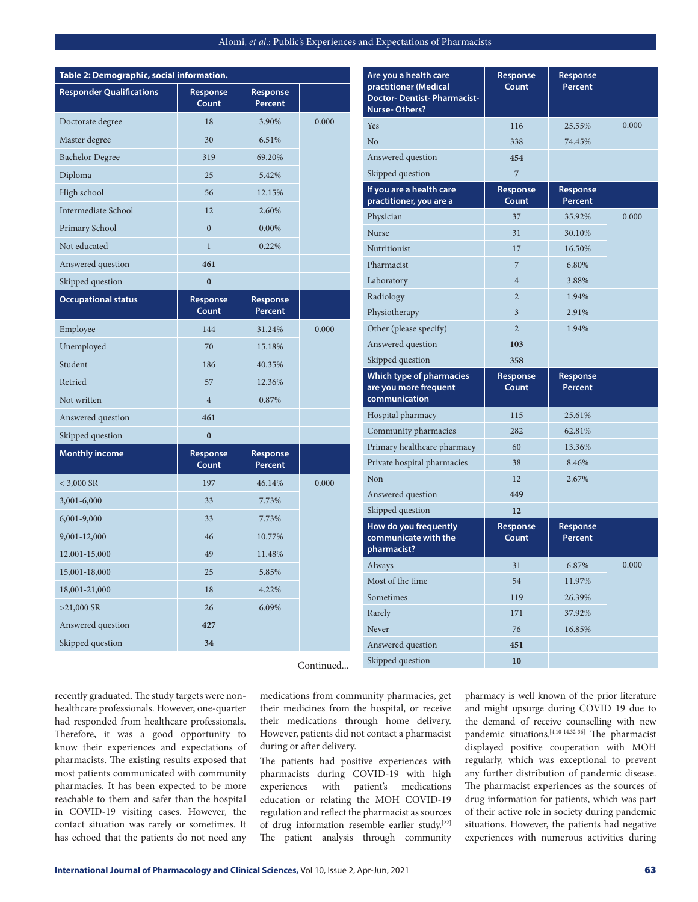| Table 2: Demographic, social information. |                   |                     |       |
|-------------------------------------------|-------------------|---------------------|-------|
| <b>Responder Qualifications</b>           | Response<br>Count | Response<br>Percent |       |
| Doctorate degree                          | 18                | 3.90%               | 0.000 |
| Master degree                             | 30                | 6.51%               |       |
| <b>Bachelor Degree</b>                    | 319               | 69.20%              |       |
| Diploma                                   | 25                | 5.42%               |       |
| High school                               | 56                | 12.15%              |       |
| Intermediate School                       | 12                | 2.60%               |       |
| Primary School                            | $\overline{0}$    | 0.00%               |       |
| Not educated                              | $\mathbf{1}$      | 0.22%               |       |
| Answered question                         | 461               |                     |       |
| Skipped question                          | $\bf{0}$          |                     |       |
| <b>Occupational status</b>                | Response<br>Count | Response<br>Percent |       |
| Employee                                  | 144               | 31.24%              | 0.000 |
| Unemployed                                | 70                | 15.18%              |       |
| Student                                   | 186               | 40.35%              |       |
| Retried                                   | 57                | 12.36%              |       |
| Not written                               | $\overline{4}$    | 0.87%               |       |
| Answered question                         | 461               |                     |       |
| Skipped question                          | $\bf{0}$          |                     |       |
| <b>Monthly income</b>                     | Response<br>Count | Response<br>Percent |       |
| $<$ 3,000 SR                              | 197               | 46.14%              | 0.000 |
| 3,001-6,000                               | 33                | 7.73%               |       |
| 6,001-9,000                               | 33                | 7.73%               |       |
| 9,001-12,000                              | 46                | 10.77%              |       |
| 12.001-15,000                             | 49                | 11.48%              |       |
| 15,001-18,000                             | 25                | 5.85%               |       |
| 18,001-21,000                             | 18                | 4.22%               |       |
| $>21,000$ SR                              | 26                | 6.09%               |       |
| Answered question                         | 427               |                     |       |
| Skipped question                          | 34                |                     |       |

| Are you a health care<br>practitioner (Medical<br><b>Doctor-Dentist-Pharmacist-</b><br><b>Nurse-Others?</b> | Response<br>Count | Response<br>Percent        |       |
|-------------------------------------------------------------------------------------------------------------|-------------------|----------------------------|-------|
| <b>Yes</b>                                                                                                  | 116               | 25.55%                     | 0.000 |
| N <sub>o</sub>                                                                                              | 338               | 74.45%                     |       |
| Answered question                                                                                           | 454               |                            |       |
| Skipped question                                                                                            | $\overline{7}$    |                            |       |
| If you are a health care<br>practitioner, you are a                                                         | Response<br>Count | Response<br>Percent        |       |
| Physician                                                                                                   | 37                | 35.92%                     | 0.000 |
| Nurse                                                                                                       | 31                | 30.10%                     |       |
| Nutritionist                                                                                                | 17                | 16.50%                     |       |
| Pharmacist                                                                                                  | 7                 | 6.80%                      |       |
| Laboratory                                                                                                  | $\overline{4}$    | 3.88%                      |       |
| Radiology                                                                                                   | $\overline{2}$    | 1.94%                      |       |
| Physiotherapy                                                                                               | 3                 | 2.91%                      |       |
| Other (please specify)                                                                                      | $\overline{2}$    | 1.94%                      |       |
| Answered question                                                                                           | 103               |                            |       |
| Skipped question                                                                                            | 358               |                            |       |
|                                                                                                             |                   |                            |       |
| <b>Which type of pharmacies</b><br>are you more frequent<br>communication                                   | Response<br>Count | Response<br><b>Percent</b> |       |
|                                                                                                             | 115               | 25.61%                     |       |
| Hospital pharmacy                                                                                           | 282               | 62.81%                     |       |
| Community pharmacies<br>Primary healthcare pharmacy                                                         | 60                | 13.36%                     |       |
| Private hospital pharmacies                                                                                 | 38                | 8.46%                      |       |
| Non                                                                                                         | 12                | 2.67%                      |       |
| Answered question                                                                                           | 449               |                            |       |
| Skipped question                                                                                            | 12                |                            |       |
| How do you frequently<br>communicate with the<br>pharmacist?                                                | Response<br>Count | Response<br>Percent        |       |
| Always                                                                                                      | 31                | 6.87%                      | 0.000 |
| Most of the time                                                                                            | 54                | 11.97%                     |       |
| Sometimes                                                                                                   | 119               | 26.39%                     |       |
| Rarely                                                                                                      | 171               | 37.92%                     |       |
| Never                                                                                                       | 76                | 16.85%                     |       |
| Answered question                                                                                           | 451               |                            |       |

Continued...

recently graduated. The study targets were nonhealthcare professionals. However, one-quarter had responded from healthcare professionals. Therefore, it was a good opportunity to know their experiences and expectations of pharmacists. The existing results exposed that most patients communicated with community pharmacies. It has been expected to be more reachable to them and safer than the hospital in COVID-19 visiting cases. However, the contact situation was rarely or sometimes. It has echoed that the patients do not need any

medications from community pharmacies, get their medicines from the hospital, or receive their medications through home delivery. However, patients did not contact a pharmacist during or after delivery.

The patients had positive experiences with pharmacists during COVID-19 with high experiences with patient's medications education or relating the MOH COVID-19 regulation and reflect the pharmacist as sources of drug information resemble earlier study.[22] The patient analysis through community

pharmacy is well known of the prior literature and might upsurge during COVID 19 due to the demand of receive counselling with new pandemic situations.[4,10-14,32-36] The pharmacist displayed positive cooperation with MOH regularly, which was exceptional to prevent any further distribution of pandemic disease. The pharmacist experiences as the sources of drug information for patients, which was part of their active role in society during pandemic situations. However, the patients had negative experiences with numerous activities during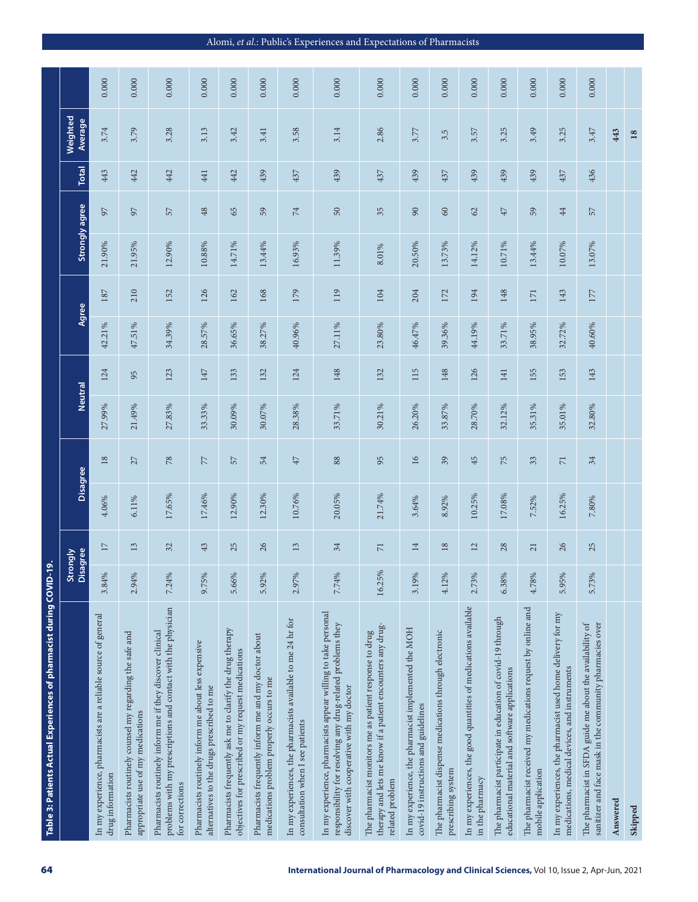| 64                                                                                          | Table 3: Patients Actual Experiences of pharmacist during COVID                                                                                                          | $-19.$ |                          |        |                 |                |     |        |       |        |                |              |                     |       |
|---------------------------------------------------------------------------------------------|--------------------------------------------------------------------------------------------------------------------------------------------------------------------------|--------|--------------------------|--------|-----------------|----------------|-----|--------|-------|--------|----------------|--------------|---------------------|-------|
|                                                                                             |                                                                                                                                                                          |        | isagree<br>trongly       |        | Disagree        | <b>Neutral</b> |     |        | Agree |        | Strongly agree | <b>Total</b> | Weighted<br>Average |       |
|                                                                                             | In my experience, pharmacists are a reliable source of general<br>drug information                                                                                       | 3.84%  | 17                       | 4.06%  | $18\,$          | 27.99%         | 124 | 42.21% | 187   | 21.90% | 55             | 443          | 3.74                | 0.000 |
|                                                                                             | Pharmacists routinely counsel my regarding the safe and<br>appropriate use of my medications                                                                             | 2.94%  | 13                       | 6.11%  | 27              | 21.49%         | 95  | 47.51% | 210   | 21.95% | 55             | 442          | 3.79                | 0.000 |
|                                                                                             | problems with my prescriptions and contact with the physician<br>Pharmacists routinely inform me if they discover clinical<br>for corrections                            | 7.24%  | 32                       | 17.65% | $78$            | 27.83%         | 123 | 34.39% | 152   | 12.90% | 57             | 442          | 3.28                | 0.000 |
|                                                                                             | Pharmacists routinely inform me about less expensive<br>alternatives to the drugs prescribed to me                                                                       | 9.75%  | 43                       | 17.46% | 77              | 33.33%         | 147 | 28.57% | 126   | 10.88% | 48             | 441          | 3.13                | 0.000 |
|                                                                                             | Pharmacists frequently ask me to clarify the drug therapy<br>objectives for prescribed or my request medications                                                         | 5.66%  | 25                       | 12.90% | 57              | 30.09%         | 133 | 36.65% | 162   | 14.71% | 65             | 442          | 3.42                | 0.000 |
|                                                                                             | Pharmacists frequently inform me and my doctor about<br>medications problem properly occurs to me                                                                        | 5.92%  | 26                       | 12.30% | 54              | 30.07%         | 132 | 38.27% | 168   | 13.44% | 59             | 439          | 3.41                | 0.000 |
|                                                                                             | In my experiences, the pharmacists available to me 24 hr for<br>consultation when I see patients                                                                         | 2.97%  | 13                       | 10.76% | $47$            | 28.38%         | 124 | 40.96% | 179   | 16.93% | 74             | 437          | 3.58                | 0.000 |
| International Journal of Pharmacology and Clinical Sciences, Vol 10, Issue 2, Apr-Jun, 2021 | In my experience, pharmacists appear willing to take personal<br>responsibility for resolving any drug-related problems they<br>discover with cooperative with my doctor | 7.74%  | 34                       | 20.05% | 88              | 33.71%         | 148 | 27.11% | 119   | 11.39% | $50\,$         | 439          | 3.14                | 0.000 |
|                                                                                             | therapy and lets me know if a patient encounters any drug-<br>The pharmacist monitors me as patient response to drug<br>related problem                                  | 16.25% | $\overline{\phantom{0}}$ | 21.74% | 95              | 30.21%         | 132 | 23.80% | 104   | 8.01%  | 35             | 437          | 2.86                | 0.000 |
|                                                                                             | In my experience, the pharmacist implemented the MOH<br>covid-19 instructions and guidelines                                                                             | 3.19%  | $\overline{14}$          | 3.64%  | $\overline{16}$ | 26.20%         | 115 | 46.47% | 204   | 20.50% | 90             | 439          | 3.77                | 0.000 |
|                                                                                             | The pharmacist dispense medications through electronic<br>prescribing system                                                                                             | 4.12%  | 18                       | 8.92%  | 39              | 33.87%         | 148 | 39.36% | 172   | 13.73% | 60             | 437          | 3.5                 | 0.000 |
|                                                                                             | In my experiences, the good quantities of medications available<br>in the pharmacy                                                                                       | 2.73%  | 12                       | 10.25% | 45              | 28.70%         | 126 | 44.19% | 194   | 14.12% | 62             | 439          | 3.57                | 0.000 |
|                                                                                             | The pharmacist participate in education of covid-19 through<br>educational material and software applications                                                            | 6.38%  | 28                       | 17.08% | 75              | 32.12%         | 141 | 33.71% | 148   | 10.71% | $47$           | 439          | 3.25                | 0.000 |
|                                                                                             | The pharmacist received my medications request by online and<br>mobile application                                                                                       | 4.78%  | $\overline{21}$          | 7.52%  | 33              | 35.31%         | 155 | 38.95% | 171   | 13.44% | 59             | 439          | 3.49                | 0.000 |
|                                                                                             | In my experiences, the pharmacist used home delivery for my<br>medications, medical devices, and instruments                                                             | 5.95%  | 26                       | 16.25% | $\overline{71}$ | 35.01%         | 153 | 32.72% | 143   | 10.07% | $44$           | 437          | 3.25                | 0.000 |
|                                                                                             | sanitizer and face mask in the community pharmacies over<br>The pharmacist in SFDA guide me about the availability of                                                    | 5.73%  | 25                       | 7.80%  | 34              | 32.80%         | 143 | 40.60% | 177   | 13.07% | 57             | 436          | 3.47                | 0.000 |
|                                                                                             | Answered                                                                                                                                                                 |        |                          |        |                 |                |     |        |       |        |                |              | 443                 |       |
|                                                                                             | Skipped                                                                                                                                                                  |        |                          |        |                 |                |     |        |       |        |                |              | 18                  |       |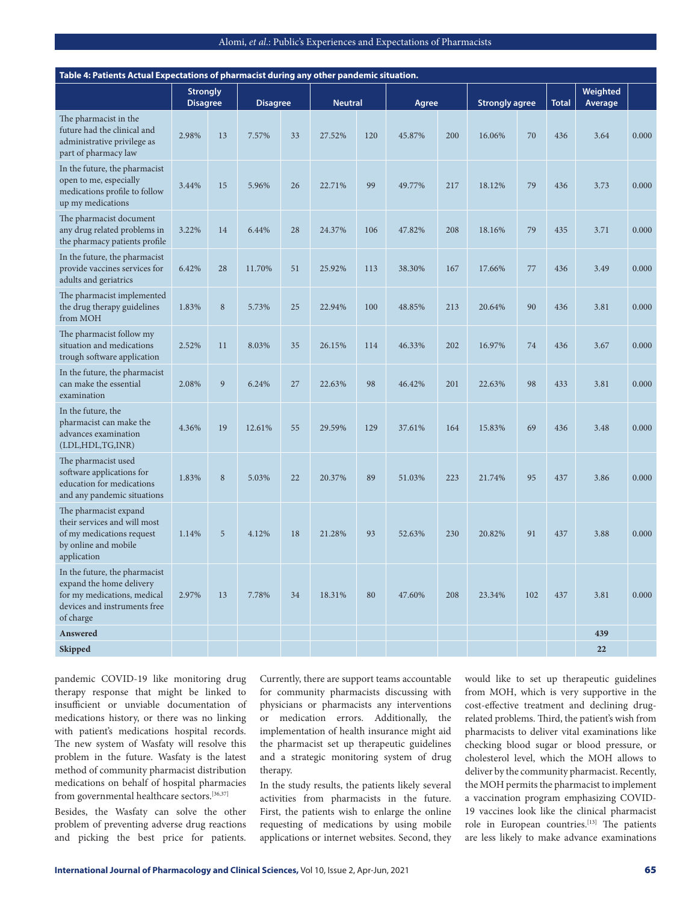| Table 4: Patients Actual Expectations of pharmacist during any other pandemic situation.                                              |                                    |             |                 |    |                |     |        |     |                       |     |              |                     |       |
|---------------------------------------------------------------------------------------------------------------------------------------|------------------------------------|-------------|-----------------|----|----------------|-----|--------|-----|-----------------------|-----|--------------|---------------------|-------|
|                                                                                                                                       | <b>Strongly</b><br><b>Disagree</b> |             | <b>Disagree</b> |    | <b>Neutral</b> |     | Agree  |     | <b>Strongly agree</b> |     | <b>Total</b> | Weighted<br>Average |       |
| The pharmacist in the<br>future had the clinical and<br>administrative privilege as<br>part of pharmacy law                           | 2.98%                              | 13          | 7.57%           | 33 | 27.52%         | 120 | 45.87% | 200 | 16.06%                | 70  | 436          | 3.64                | 0.000 |
| In the future, the pharmacist<br>open to me, especially<br>medications profile to follow<br>up my medications                         | 3.44%                              | 15          | 5.96%           | 26 | 22.71%         | 99  | 49.77% | 217 | 18.12%                | 79  | 436          | 3.73                | 0.000 |
| The pharmacist document<br>any drug related problems in<br>the pharmacy patients profile                                              | 3.22%                              | 14          | 6.44%           | 28 | 24.37%         | 106 | 47.82% | 208 | 18.16%                | 79  | 435          | 3.71                | 0.000 |
| In the future, the pharmacist<br>provide vaccines services for<br>adults and geriatrics                                               | 6.42%                              | 28          | 11.70%          | 51 | 25.92%         | 113 | 38.30% | 167 | 17.66%                | 77  | 436          | 3.49                | 0.000 |
| The pharmacist implemented<br>the drug therapy guidelines<br>from MOH                                                                 | 1.83%                              | $\,$ 8 $\,$ | 5.73%           | 25 | 22.94%         | 100 | 48.85% | 213 | 20.64%                | 90  | 436          | 3.81                | 0.000 |
| The pharmacist follow my<br>situation and medications<br>trough software application                                                  | 2.52%                              | 11          | 8.03%           | 35 | 26.15%         | 114 | 46.33% | 202 | 16.97%                | 74  | 436          | 3.67                | 0.000 |
| In the future, the pharmacist<br>can make the essential<br>examination                                                                | 2.08%                              | 9           | 6.24%           | 27 | 22.63%         | 98  | 46.42% | 201 | 22.63%                | 98  | 433          | 3.81                | 0.000 |
| In the future, the<br>pharmacist can make the<br>advances examination<br>(LDL, HDL, TG, INR)                                          | 4.36%                              | 19          | 12.61%          | 55 | 29.59%         | 129 | 37.61% | 164 | 15.83%                | 69  | 436          | 3.48                | 0.000 |
| The pharmacist used<br>software applications for<br>education for medications<br>and any pandemic situations                          | 1.83%                              | $\,$ 8 $\,$ | 5.03%           | 22 | 20.37%         | 89  | 51.03% | 223 | 21.74%                | 95  | 437          | 3.86                | 0.000 |
| The pharmacist expand<br>their services and will most<br>of my medications request<br>by online and mobile<br>application             | 1.14%                              | 5           | 4.12%           | 18 | 21.28%         | 93  | 52.63% | 230 | 20.82%                | 91  | 437          | 3.88                | 0.000 |
| In the future, the pharmacist<br>expand the home delivery<br>for my medications, medical<br>devices and instruments free<br>of charge | 2.97%                              | 13          | 7.78%           | 34 | 18.31%         | 80  | 47.60% | 208 | 23.34%                | 102 | 437          | 3.81                | 0.000 |
| Answered                                                                                                                              |                                    |             |                 |    |                |     |        |     |                       |     |              | 439                 |       |
| <b>Skipped</b>                                                                                                                        |                                    |             |                 |    |                |     |        |     |                       |     |              | 22                  |       |

pandemic COVID-19 like monitoring drug therapy response that might be linked to insufficient or unviable documentation of medications history, or there was no linking with patient's medications hospital records. The new system of Wasfaty will resolve this problem in the future. Wasfaty is the latest method of community pharmacist distribution medications on behalf of hospital pharmacies from governmental healthcare sectors.<sup>[36,37]</sup>

Besides, the Wasfaty can solve the other problem of preventing adverse drug reactions and picking the best price for patients.

Currently, there are support teams accountable for community pharmacists discussing with physicians or pharmacists any interventions or medication errors. Additionally, the implementation of health insurance might aid the pharmacist set up therapeutic guidelines and a strategic monitoring system of drug therapy.

In the study results, the patients likely several activities from pharmacists in the future. First, the patients wish to enlarge the online requesting of medications by using mobile applications or internet websites. Second, they would like to set up therapeutic guidelines from MOH, which is very supportive in the cost-effective treatment and declining drugrelated problems. Third, the patient's wish from pharmacists to deliver vital examinations like checking blood sugar or blood pressure, or cholesterol level, which the MOH allows to deliver by the community pharmacist. Recently, the MOH permits the pharmacist to implement a vaccination program emphasizing COVID-19 vaccines look like the clinical pharmacist role in European countries.<sup>[13]</sup> The patients are less likely to make advance examinations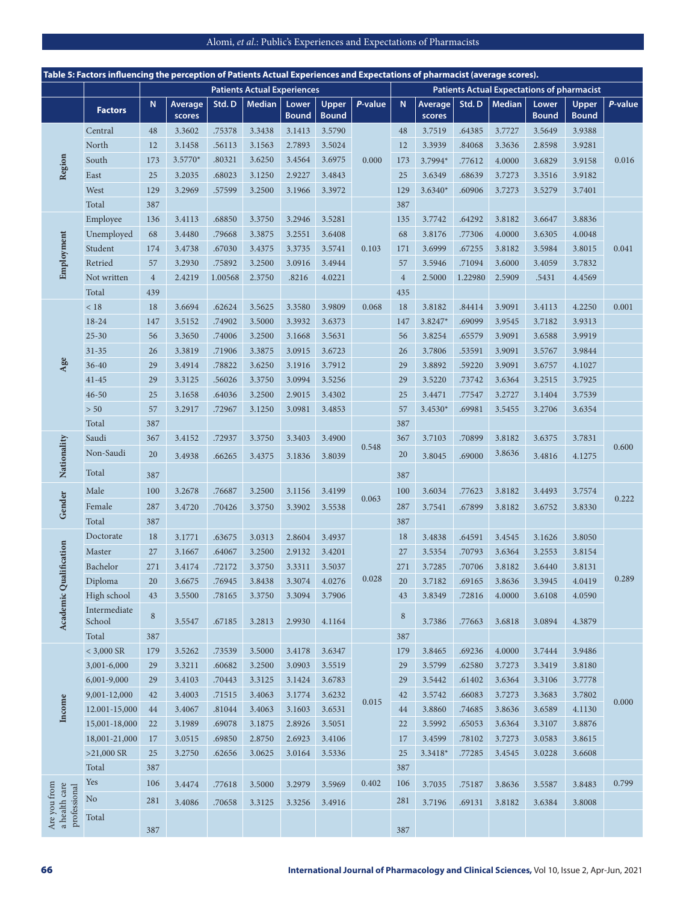|                                               | Table 5: Factors influencing the perception of Patients Actual Experiences and Expectations of pharmacist (average scores). |                |                   |         |                                    |                       |                       |         |                |                   |         |               |                                                   |                              |         |
|-----------------------------------------------|-----------------------------------------------------------------------------------------------------------------------------|----------------|-------------------|---------|------------------------------------|-----------------------|-----------------------|---------|----------------|-------------------|---------|---------------|---------------------------------------------------|------------------------------|---------|
|                                               |                                                                                                                             |                |                   |         | <b>Patients Actual Experiences</b> |                       |                       |         |                |                   |         |               | <b>Patients Actual Expectations of pharmacist</b> |                              |         |
|                                               | <b>Factors</b>                                                                                                              | N              | Average<br>scores | Std.D   | <b>Median</b>                      | Lower<br><b>Bound</b> | Upper<br><b>Bound</b> | P-value | N              | Average<br>scores | Std.D   | <b>Median</b> | Lower<br><b>Bound</b>                             | <b>Upper</b><br><b>Bound</b> | P-value |
|                                               | Central                                                                                                                     | 48             | 3.3602            | .75378  | 3.3438                             | 3.1413                | 3.5790                |         | 48             | 3.7519            | .64385  | 3.7727        | 3.5649                                            | 3.9388                       |         |
|                                               | North                                                                                                                       | 12             | 3.1458            | .56113  | 3.1563                             | 2.7893                | 3.5024                |         | 12             | 3.3939            | .84068  | 3.3636        | 2.8598                                            | 3.9281                       |         |
|                                               | South                                                                                                                       | 173            | 3.5770*           | .80321  | 3.6250                             | 3.4564                | 3.6975                | 0.000   | 173            | 3.7994*           | .77612  | 4.0000        | 3.6829                                            | 3.9158                       | 0.016   |
| Region                                        | East                                                                                                                        | 25             | 3.2035            | .68023  | 3.1250                             | 2.9227                | 3.4843                |         | 25             | 3.6349            | .68639  | 3.7273        | 3.3516                                            | 3.9182                       |         |
|                                               | West                                                                                                                        | 129            | 3.2969            | .57599  | 3.2500                             | 3.1966                | 3.3972                |         | 129            | 3.6340*           | .60906  | 3.7273        | 3.5279                                            | 3.7401                       |         |
|                                               | Total                                                                                                                       | 387            |                   |         |                                    |                       |                       |         | 387            |                   |         |               |                                                   |                              |         |
|                                               | Employee                                                                                                                    | 136            | 3.4113            | .68850  | 3.3750                             | 3.2946                | 3.5281                |         | 135            | 3.7742            | .64292  | 3.8182        | 3.6647                                            | 3.8836                       |         |
|                                               | Unemployed                                                                                                                  | 68             | 3.4480            | .79668  | 3.3875                             | 3.2551                | 3.6408                |         | 68             | 3.8176            | .77306  | 4.0000        | 3.6305                                            | 4.0048                       |         |
| Employment                                    | Student                                                                                                                     | 174            | 3.4738            | .67030  | 3.4375                             | 3.3735                | 3.5741                | 0.103   | 171            | 3.6999            | .67255  | 3.8182        | 3.5984                                            | 3.8015                       | 0.041   |
|                                               | Retried                                                                                                                     | 57             | 3.2930            | .75892  | 3.2500                             | 3.0916                | 3.4944                |         | 57             | 3.5946            | .71094  | 3.6000        | 3.4059                                            | 3.7832                       |         |
|                                               | Not written                                                                                                                 | $\overline{4}$ | 2.4219            | 1.00568 | 2.3750                             | .8216                 | 4.0221                |         | $\overline{4}$ | 2.5000            | 1.22980 | 2.5909        | .5431                                             | 4.4569                       |         |
|                                               | Total                                                                                                                       | 439            |                   |         |                                    |                       |                       |         | 435            |                   |         |               |                                                   |                              |         |
|                                               | $<18$                                                                                                                       | 18             | 3.6694            | .62624  | 3.5625                             | 3.3580                | 3.9809                | 0.068   | 18             | 3.8182            | .84414  | 3.9091        | 3.4113                                            | 4.2250                       | 0.001   |
|                                               | $18 - 24$                                                                                                                   | 147            | 3.5152            | .74902  | 3.5000                             | 3.3932                | 3.6373                |         | 147            | 3.8247*           | .69099  | 3.9545        | 3.7182                                            | 3.9313                       |         |
|                                               | $25 - 30$                                                                                                                   | 56             | 3.3650            | .74006  | 3.2500                             | 3.1668                | 3.5631                |         | 56             | 3.8254            | .65579  | 3.9091        | 3.6588                                            | 3.9919                       |         |
|                                               | $31 - 35$                                                                                                                   | 26             | 3.3819            | .71906  | 3.3875                             | 3.0915                | 3.6723                |         | 26             | 3.7806            | .53591  | 3.9091        | 3.5767                                            | 3.9844                       |         |
| Age                                           | $36 - 40$                                                                                                                   | 29             | 3.4914            | .78822  | 3.6250                             | 3.1916                | 3.7912                |         | 29             | 3.8892            | .59220  | 3.9091        | 3.6757                                            | 4.1027                       |         |
|                                               | $41 - 45$                                                                                                                   | 29             | 3.3125            | .56026  | 3.3750                             | 3.0994                | 3.5256                |         | 29             | 3.5220            | .73742  | 3.6364        | 3.2515                                            | 3.7925                       |         |
|                                               | $46 - 50$                                                                                                                   | 25             | 3.1658            | .64036  | 3.2500                             | 2.9015                | 3.4302                |         | 25             | 3.4471            | .77547  | 3.2727        | 3.1404                                            | 3.7539                       |         |
|                                               | $>50$                                                                                                                       | 57             | 3.2917            | .72967  | 3.1250                             | 3.0981                | 3.4853                |         | 57             | 3.4530*           | .69981  | 3.5455        | 3.2706                                            | 3.6354                       |         |
|                                               | Total                                                                                                                       | 387            |                   |         |                                    |                       |                       |         | 387            |                   |         |               |                                                   |                              |         |
|                                               | Saudi                                                                                                                       | 367            | 3.4152            | .72937  | 3.3750                             | 3.3403                | 3.4900                |         | 367            | 3.7103            | .70899  | 3.8182        | 3.6375                                            | 3.7831                       |         |
| Nationality                                   | Non-Saudi                                                                                                                   | 20             | 3.4938            | .66265  | 3.4375                             | 3.1836                | 3.8039                | 0.548   | 20             | 3.8045            | .69000  | 3.8636        | 3.4816                                            | 4.1275                       | 0.600   |
|                                               |                                                                                                                             |                |                   |         |                                    |                       |                       |         |                |                   |         |               |                                                   |                              |         |
|                                               | Total                                                                                                                       | 387            |                   |         |                                    |                       |                       |         | 387            |                   |         |               |                                                   |                              |         |
|                                               | Male                                                                                                                        | 100            | 3.2678            | .76687  | 3.2500                             | 3.1156                | 3.4199                | 0.063   | 100            | 3.6034            | .77623  | 3.8182        | 3.4493                                            | 3.7574                       | 0.222   |
| Gender                                        | Female                                                                                                                      | 287            | 3.4720            | .70426  | 3.3750                             | 3.3902                | 3.5538                |         | 287            | 3.7541            | .67899  | 3.8182        | 3.6752                                            | 3.8330                       |         |
|                                               | Total                                                                                                                       | 387            |                   |         |                                    |                       |                       |         | 387            |                   |         |               |                                                   |                              |         |
|                                               | Doctorate                                                                                                                   | 18             | 3.1771            | .63675  | 3.0313                             | 2.8604                | 3.4937                |         | 18             | 3.4838            | .64591  | 3.4545        | 3.1626                                            | 3.8050                       |         |
| lification                                    | Master                                                                                                                      | 27             | 3.1667            | .64067  | 3.2500                             | 2.9132                | 3.4201                |         | 27             | 3.5354            | .70793  | 3.6364        | 3.2553                                            | 3.8154                       |         |
|                                               | Bachelor                                                                                                                    | 271            | 3.4174            | .72172  | 3.3750                             | 3.3311                | 3.5037                |         | 271            | 3.7285            | .70706  | 3.8182        | 3.6440                                            | 3.8131                       |         |
|                                               | Diploma                                                                                                                     | 20             | 3.6675            | .76945  | 3.8438                             | 3.3074                | 4.0276                | 0.028   | 20             | 3.7182            | .69165  | 3.8636        | 3.3945                                            | 4.0419                       | 0.289   |
|                                               | High school                                                                                                                 | 43             | 3.5500            | .78165  | 3.3750                             | 3.3094                | 3.7906                |         | 43             | 3.8349            | .72816  | 4.0000        | 3.6108                                            | 4.0590                       |         |
| Academic Qua                                  | Intermediate<br>School                                                                                                      | $8\,$          | 3.5547            | .67185  | 3.2813                             | 2.9930                | 4.1164                |         | 8              | 3.7386            | .77663  | 3.6818        | 3.0894                                            | 4.3879                       |         |
|                                               | Total                                                                                                                       | 387            |                   |         |                                    |                       |                       |         | 387            |                   |         |               |                                                   |                              |         |
|                                               | $<$ 3,000 SR                                                                                                                | 179            | 3.5262            | .73539  | 3.5000                             | 3.4178                | 3.6347                |         | 179            | 3.8465            | .69236  | 4.0000        | 3.7444                                            | 3.9486                       |         |
|                                               | 3,001-6,000                                                                                                                 | 29             | 3.3211            | .60682  | 3.2500                             | 3.0903                | 3.5519                |         | 29             | 3.5799            | .62580  | 3.7273        | 3.3419                                            | 3.8180                       |         |
|                                               | 6,001-9,000                                                                                                                 | 29             | 3.4103            | .70443  | 3.3125                             | 3.1424                | 3.6783                |         | 29             | 3.5442            | .61402  | 3.6364        | 3.3106                                            | 3.7778                       |         |
|                                               | 9,001-12,000                                                                                                                | 42             | 3.4003            | .71515  | 3.4063                             | 3.1774                | 3.6232                | 0.015   | 42             | 3.5742            | .66083  | 3.7273        | 3.3683                                            | 3.7802                       | 0.000   |
| Income                                        | 12.001-15,000                                                                                                               | 44             | 3.4067            | .81044  | 3.4063                             | 3.1603                | 3.6531                |         | 44             | 3.8860            | .74685  | 3.8636        | 3.6589                                            | 4.1130                       |         |
|                                               | 15,001-18,000                                                                                                               | 22             | 3.1989            | .69078  | 3.1875                             | 2.8926                | 3.5051                |         | 22             | 3.5992            | .65053  | 3.6364        | 3.3107                                            | 3.8876                       |         |
|                                               | 18,001-21,000                                                                                                               | 17             | 3.0515            | .69850  | 2.8750                             | 2.6923                | 3.4106                |         | 17             | 3.4599            | .78102  | 3.7273        | 3.0583                                            | 3.8615                       |         |
|                                               | $>21,000$ SR                                                                                                                | 25             | 3.2750            | .62656  | 3.0625                             | 3.0164                | 3.5336                |         | 25             | 3.3418*           | .77285  | 3.4545        | 3.0228                                            | 3.6608                       |         |
|                                               | Total                                                                                                                       | 387            |                   |         |                                    |                       |                       |         | 387            |                   |         |               |                                                   |                              |         |
|                                               | Yes                                                                                                                         | 106            | 3.4474            | .77618  | 3.5000                             | 3.2979                | 3.5969                | 0.402   | 106            | 3.7035            | .75187  | 3.8636        | 3.5587                                            | 3.8483                       | 0.799   |
| Are you from<br>a health care<br>professional | $\rm No$                                                                                                                    | 281            | 3.4086            | .70658  | 3.3125                             | 3.3256                | 3.4916                |         | 281            | 3.7196            | .69131  | 3.8182        | 3.6384                                            | 3.8008                       |         |
|                                               | Total                                                                                                                       | 387            |                   |         |                                    |                       |                       |         | 387            |                   |         |               |                                                   |                              |         |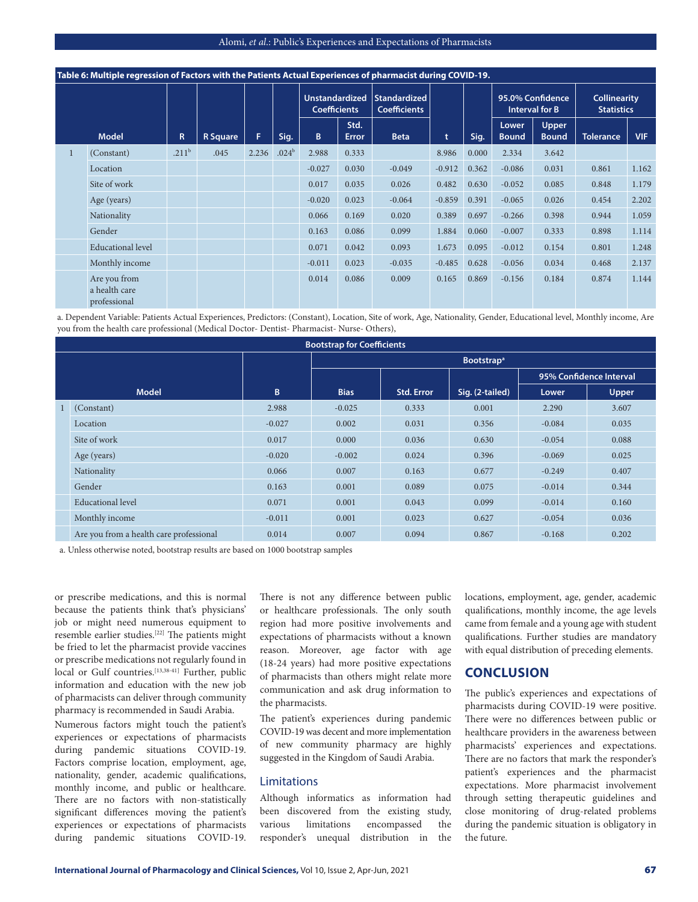|   | Table 6: Multiple regression of Factors with the Patients Actual Experiences of pharmacist during COVID-19. |                   |                 |       |                   |                                              |                      |                                            |          |       |                       |                                           |                                          |            |
|---|-------------------------------------------------------------------------------------------------------------|-------------------|-----------------|-------|-------------------|----------------------------------------------|----------------------|--------------------------------------------|----------|-------|-----------------------|-------------------------------------------|------------------------------------------|------------|
|   |                                                                                                             |                   |                 |       |                   | <b>Unstandardized</b><br><b>Coefficients</b> |                      | <b>Standardized</b><br><b>Coefficients</b> |          |       |                       | 95.0% Confidence<br><b>Interval for B</b> | <b>Collinearity</b><br><b>Statistics</b> |            |
|   | <b>Model</b>                                                                                                | R.                | <b>R</b> Square | F     | Sig.              | B.                                           | Std.<br><b>Error</b> | <b>Beta</b>                                | t        | Sig.  | Lower<br><b>Bound</b> | Upper<br><b>Bound</b>                     | <b>Tolerance</b>                         | <b>VIF</b> |
| 1 | (Constant)                                                                                                  | .211 <sup>b</sup> | .045            | 2.236 | .024 <sup>b</sup> | 2.988                                        | 0.333                |                                            | 8.986    | 0.000 | 2.334                 | 3.642                                     |                                          |            |
|   | Location                                                                                                    |                   |                 |       |                   | $-0.027$                                     | 0.030                | $-0.049$                                   | $-0.912$ | 0.362 | $-0.086$              | 0.031                                     | 0.861                                    | 1.162      |
|   | Site of work                                                                                                |                   |                 |       |                   | 0.017                                        | 0.035                | 0.026                                      | 0.482    | 0.630 | $-0.052$              | 0.085                                     | 0.848                                    | 1.179      |
|   | Age (years)                                                                                                 |                   |                 |       |                   | $-0.020$                                     | 0.023                | $-0.064$                                   | $-0.859$ | 0.391 | $-0.065$              | 0.026                                     | 0.454                                    | 2.202      |
|   | Nationality                                                                                                 |                   |                 |       |                   | 0.066                                        | 0.169                | 0.020                                      | 0.389    | 0.697 | $-0.266$              | 0.398                                     | 0.944                                    | 1.059      |
|   | Gender                                                                                                      |                   |                 |       |                   | 0.163                                        | 0.086                | 0.099                                      | 1.884    | 0.060 | $-0.007$              | 0.333                                     | 0.898                                    | 1.114      |
|   | <b>Educational</b> level                                                                                    |                   |                 |       |                   | 0.071                                        | 0.042                | 0.093                                      | 1.673    | 0.095 | $-0.012$              | 0.154                                     | 0.801                                    | 1.248      |
|   | Monthly income                                                                                              |                   |                 |       |                   | $-0.011$                                     | 0.023                | $-0.035$                                   | $-0.485$ | 0.628 | $-0.056$              | 0.034                                     | 0.468                                    | 2.137      |
|   | Are you from<br>a health care<br>professional                                                               |                   |                 |       |                   | 0.014                                        | 0.086                | 0.009                                      | 0.165    | 0.869 | $-0.156$              | 0.184                                     | 0.874                                    | 1.144      |

a. Dependent Variable: Patients Actual Experiences, Predictors: (Constant), Location, Site of work, Age, Nationality, Gender, Educational level, Monthly income, Are you from the health care professional (Medical Doctor- Dentist- Pharmacist- Nurse- Others),

|   |                                         |          | <b>Bootstrap for Coefficients</b> |                   |                              |          |                         |
|---|-----------------------------------------|----------|-----------------------------------|-------------------|------------------------------|----------|-------------------------|
|   |                                         |          |                                   |                   | <b>Bootstrap<sup>a</sup></b> |          |                         |
|   |                                         |          |                                   |                   |                              |          | 95% Confidence Interval |
|   | <b>Model</b>                            | B        | <b>Bias</b>                       | <b>Std. Error</b> | Sig. (2-tailed)              | Lower    | Upper                   |
| 1 | (Constant)                              | 2.988    | $-0.025$                          | 0.333             | 0.001                        | 2.290    | 3.607                   |
|   | Location                                | $-0.027$ | 0.002                             | 0.031             | 0.356                        | $-0.084$ | 0.035                   |
|   | Site of work                            | 0.017    | 0.000                             | 0.036             | 0.630                        | $-0.054$ | 0.088                   |
|   | Age (years)                             | $-0.020$ | $-0.002$                          | 0.024             | 0.396                        | $-0.069$ | 0.025                   |
|   | Nationality                             | 0.066    | 0.007                             | 0.163             | 0.677                        | $-0.249$ | 0.407                   |
|   | Gender                                  | 0.163    | 0.001                             | 0.089             | 0.075                        | $-0.014$ | 0.344                   |
|   | <b>Educational level</b>                | 0.071    | 0.001                             | 0.043             | 0.099                        | $-0.014$ | 0.160                   |
|   | Monthly income                          | $-0.011$ | 0.001                             | 0.023             | 0.627                        | $-0.054$ | 0.036                   |
|   | Are you from a health care professional | 0.014    | 0.007                             | 0.094             | 0.867                        | $-0.168$ | 0.202                   |

a. Unless otherwise noted, bootstrap results are based on 1000 bootstrap samples

or prescribe medications, and this is normal because the patients think that's physicians' job or might need numerous equipment to resemble earlier studies.[22] The patients might be fried to let the pharmacist provide vaccines or prescribe medications not regularly found in local or Gulf countries.<sup>[13,38-41]</sup> Further, public information and education with the new job of pharmacists can deliver through community pharmacy is recommended in Saudi Arabia.

Numerous factors might touch the patient's experiences or expectations of pharmacists during pandemic situations COVID-19. Factors comprise location, employment, age, nationality, gender, academic qualifications, monthly income, and public or healthcare. There are no factors with non-statistically significant differences moving the patient's experiences or expectations of pharmacists during pandemic situations COVID-19. There is not any difference between public or healthcare professionals. The only south region had more positive involvements and expectations of pharmacists without a known reason. Moreover, age factor with age (18-24 years) had more positive expectations of pharmacists than others might relate more communication and ask drug information to the pharmacists.

The patient's experiences during pandemic COVID-19 was decent and more implementation of new community pharmacy are highly suggested in the Kingdom of Saudi Arabia.

#### Limitations

Although informatics as information had been discovered from the existing study, various limitations encompassed the responder's unequal distribution in the locations, employment, age, gender, academic qualifications, monthly income, the age levels came from female and a young age with student qualifications. Further studies are mandatory with equal distribution of preceding elements.

## **CONCLUSION**

The public's experiences and expectations of pharmacists during COVID-19 were positive. There were no differences between public or healthcare providers in the awareness between pharmacists' experiences and expectations. There are no factors that mark the responder's patient's experiences and the pharmacist expectations. More pharmacist involvement through setting therapeutic guidelines and close monitoring of drug-related problems during the pandemic situation is obligatory in the future.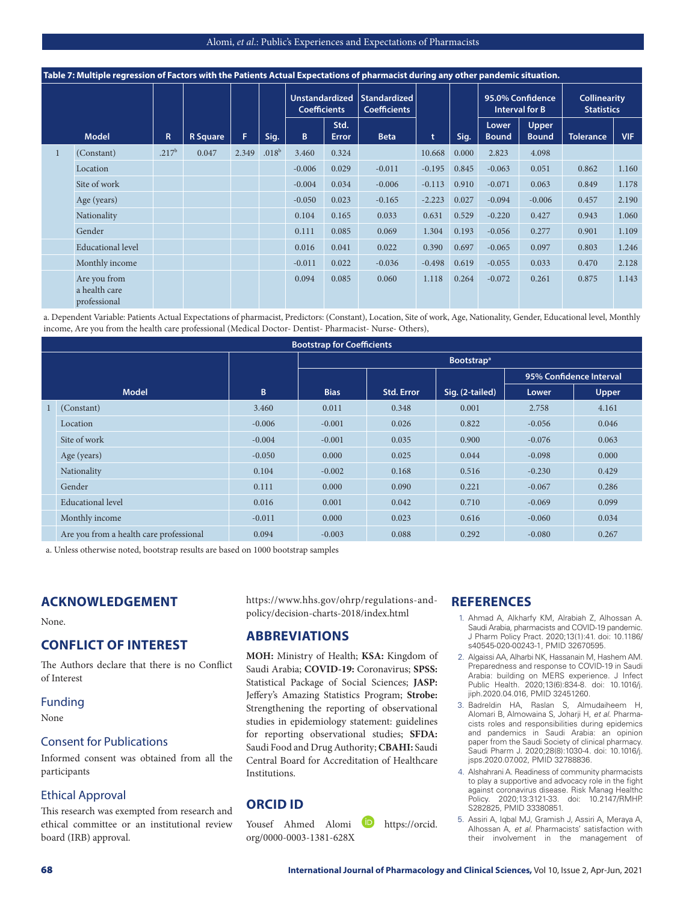|              | Table 7: Multiple regression of Factors with the Patients Actual Expectations of pharmacist during any other pandemic situation. |                   |                 |       |                   |                                              |               |                                     |          |       |                       |                                           |                                          |            |
|--------------|----------------------------------------------------------------------------------------------------------------------------------|-------------------|-----------------|-------|-------------------|----------------------------------------------|---------------|-------------------------------------|----------|-------|-----------------------|-------------------------------------------|------------------------------------------|------------|
|              |                                                                                                                                  |                   |                 |       |                   | <b>Unstandardized</b><br><b>Coefficients</b> |               | Standardized<br><b>Coefficients</b> |          |       |                       | 95.0% Confidence<br><b>Interval for B</b> | <b>Collinearity</b><br><b>Statistics</b> |            |
|              | <b>Model</b>                                                                                                                     | R.                | <b>R</b> Square | F.    | Sig.              | B                                            | Std.<br>Error | <b>Beta</b>                         | t        | Sig.  | Lower<br><b>Bound</b> | <b>Upper</b><br><b>Bound</b>              | <b>Tolerance</b>                         | <b>VIF</b> |
| $\mathbf{1}$ | (Constant)                                                                                                                       | .217 <sup>b</sup> | 0.047           | 2.349 | .018 <sup>b</sup> | 3.460                                        | 0.324         |                                     | 10.668   | 0.000 | 2.823                 | 4.098                                     |                                          |            |
|              | Location                                                                                                                         |                   |                 |       |                   | $-0.006$                                     | 0.029         | $-0.011$                            | $-0.195$ | 0.845 | $-0.063$              | 0.051                                     | 0.862                                    | 1.160      |
|              | Site of work                                                                                                                     |                   |                 |       |                   | $-0.004$                                     | 0.034         | $-0.006$                            | $-0.113$ | 0.910 | $-0.071$              | 0.063                                     | 0.849                                    | 1.178      |
|              | Age (years)                                                                                                                      |                   |                 |       |                   | $-0.050$                                     | 0.023         | $-0.165$                            | $-2.223$ | 0.027 | $-0.094$              | $-0.006$                                  | 0.457                                    | 2.190      |
|              | Nationality                                                                                                                      |                   |                 |       |                   | 0.104                                        | 0.165         | 0.033                               | 0.631    | 0.529 | $-0.220$              | 0.427                                     | 0.943                                    | 1.060      |
|              | Gender                                                                                                                           |                   |                 |       |                   | 0.111                                        | 0.085         | 0.069                               | 1.304    | 0.193 | $-0.056$              | 0.277                                     | 0.901                                    | 1.109      |
|              | <b>Educational level</b>                                                                                                         |                   |                 |       |                   | 0.016                                        | 0.041         | 0.022                               | 0.390    | 0.697 | $-0.065$              | 0.097                                     | 0.803                                    | 1.246      |
|              | Monthly income                                                                                                                   |                   |                 |       |                   | $-0.011$                                     | 0.022         | $-0.036$                            | $-0.498$ | 0.619 | $-0.055$              | 0.033                                     | 0.470                                    | 2.128      |
|              | Are you from<br>a health care<br>professional                                                                                    |                   |                 |       |                   | 0.094                                        | 0.085         | 0.060                               | 1.118    | 0.264 | $-0.072$              | 0.261                                     | 0.875                                    | 1.143      |

a. Dependent Variable: Patients Actual Expectations of pharmacist, Predictors: (Constant), Location, Site of work, Age, Nationality, Gender, Educational level, Monthly income, Are you from the health care professional (Medical Doctor- Dentist- Pharmacist- Nurse- Others),

|                                         |          | <b>Bootstrap for Coefficients</b> |                   |                               |                         |       |
|-----------------------------------------|----------|-----------------------------------|-------------------|-------------------------------|-------------------------|-------|
|                                         |          |                                   |                   | <b>Bootstrap</b> <sup>a</sup> |                         |       |
|                                         |          |                                   |                   |                               | 95% Confidence Interval |       |
| <b>Model</b>                            | B        | <b>Bias</b>                       | <b>Std. Error</b> | Sig. (2-tailed)               | Lower                   | Upper |
| (Constant)                              | 3.460    | 0.011                             | 0.348             | 0.001                         | 2.758                   | 4.161 |
| Location                                | $-0.006$ | $-0.001$                          | 0.026             | 0.822                         | $-0.056$                | 0.046 |
| Site of work                            | $-0.004$ | $-0.001$                          | 0.035             | 0.900                         | $-0.076$                | 0.063 |
| Age (years)                             | $-0.050$ | 0.000                             | 0.025             | 0.044                         | $-0.098$                | 0.000 |
| Nationality                             | 0.104    | $-0.002$                          | 0.168             | 0.516                         | $-0.230$                | 0.429 |
| Gender                                  | 0.111    | 0.000                             | 0.090             | 0.221                         | $-0.067$                | 0.286 |
| Educational level                       | 0.016    | 0.001                             | 0.042             | 0.710                         | $-0.069$                | 0.099 |
| Monthly income                          | $-0.011$ | 0.000                             | 0.023             | 0.616                         | $-0.060$                | 0.034 |
| Are you from a health care professional | 0.094    | $-0.003$                          | 0.088             | 0.292                         | $-0.080$                | 0.267 |

a. Unless otherwise noted, bootstrap results are based on 1000 bootstrap samples

## **ACKNOWLEDGEMENT**

None.

# **CONFLICT OF INTEREST**

The Authors declare that there is no Conflict of Interest

#### Funding

None

## Consent for Publications

Informed consent was obtained from all the participants

## Ethical Approval

This research was exempted from research and ethical committee or an institutional review board (IRB) approval.

https://www.hhs.gov/ohrp/regulations-andpolicy/decision-charts-2018/index.html

## **ABBREVIATIONS**

**MOH:** Ministry of Health; **KSA:** Kingdom of Saudi Arabia; **COVID-19:** Coronavirus; **SPSS:**  Statistical Package of Social Sciences; **JASP:**  Jeffery's Amazing Statistics Program; **Strobe:**  Strengthening the reporting of observational studies in epidemiology statement: guidelines for reporting observational studies; **SFDA:**  Saudi Food and Drug Authority; **CBAHI:** Saudi Central Board for Accreditation of Healthcare Institutions.

# **ORCID ID**

Yousef Ahmed Alomi **https://orcid.** org/0000-0003-1381-628X

## **REFERENCES**

- 1. Ahmad A, Alkharfy KM, Alrabiah Z, Alhossan A. Saudi Arabia, pharmacists and COVID-19 pandemic. J Pharm Policy Pract. 2020;13(1):41. doi: 10.1186/ s40545-020-00243-1, PMID 32670595.
- 2. Algaissi AA, Alharbi NK, Hassanain M, Hashem AM. Preparedness and response to COVID-19 in Saudi Arabia: building on MERS experience. J Infect Public Health. 2020;13(6):834-8. doi: 10.1016/j. jiph.2020.04.016, PMID 32451260.
- 3. Badreldin HA, Raslan S, Almudaiheem H, Alomari B, Almowaina S, Joharji H, *et al*. Pharmacists roles and responsibilities during epidemics and pandemics in Saudi Arabia: an opinion paper from the Saudi Society of clinical pharmacy. Saudi Pharm J. 2020;28(8):1030-4. doi: 10.1016/j. jsps.2020.07.002, PMID 32788836.
- 4. Alshahrani A. Readiness of community pharmacists to play a supportive and advocacy role in the fight against coronavirus disease. Risk Manag Healthc Policy. 2020;13:3121-33. doi: 10.2147/RMHP. S282825, PMID 33380851.
- 5. Assiri A, Iqbal MJ, Gramish J, Assiri A, Meraya A, Alhossan A, *et al*. Pharmacists' satisfaction with their involvement in the management of